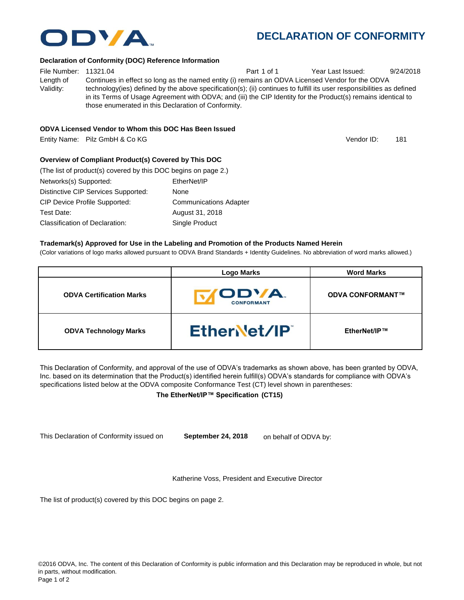## **DECLARATION OF CONFORMITY**

## **Declaration of Conformity (DOC) Reference Information**

File Number: 11321.04 **Part 1 of 1** Year Last Issued: 9/24/2018 Length of Validity: Continues in effect so long as the named entity (i) remains an ODVA Licensed Vendor for the ODVA technology(ies) defined by the above specification(s); (ii) continues to fulfill its user responsibilities as defined in its Terms of Usage Agreement with ODVA; and (iii) the CIP Identity for the Product(s) remains identical to those enumerated in this Declaration of Conformity.

| (The list of product(s) covered by this DOC begins on page 2.) |                               |
|----------------------------------------------------------------|-------------------------------|
| Networks(s) Supported:                                         | EtherNet/IP                   |
| Distinctive CIP Services Supported:                            | None                          |
| <b>CIP Device Profile Supported:</b>                           | <b>Communications Adapter</b> |
| Test Date:                                                     | August 31, 2018               |
| Classification of Declaration:                                 | Single Product                |

### **Trademark(s) Approved for Use in the Labeling and Promotion of the Products Named Herein**

(Color variations of logo marks allowed pursuant to ODVA Brand Standards + Identity Guidelines. No abbreviation of word marks allowed.)

|                                 | <b>Logo Marks</b>          | <b>Word Marks</b>       |
|---------------------------------|----------------------------|-------------------------|
| <b>ODVA Certification Marks</b> | ODVA.<br><b>CONFORMANT</b> | <b>ODVA CONFORMANT™</b> |
| <b>ODVA Technology Marks</b>    | EtherNet/IP                | EtherNet/IP™            |

This Declaration of Conformity, and approval of the use of ODVA's trademarks as shown above, has been granted by ODVA, Inc. based on its determination that the Product(s) identified herein fulfill(s) ODVA's standards for compliance with ODVA's specifications listed below at the ODVA composite Conformance Test (CT) level shown in parentheses:

## **The EtherNet/IP™ Specification (CT15)**

This Declaration of Conformity issued on **September 24, 2018** on behalf of ODVA by:

Katherine Voss, President and Executive Director

The list of product(s) covered by this DOC begins on page 2.





Vendor ID: